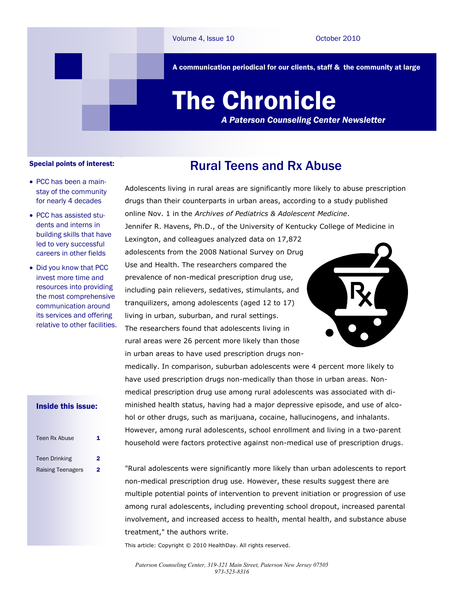A communication periodical for our clients, staff & the community at large

# The Chronicle

*A Paterson Counseling Center Newsletter*

#### Special points of interest:

- PCC has been a mainstay of the community for nearly 4 decades
- PCC has assisted students and interns in building skills that have led to very successful careers in other fields
- Did you know that PCC invest more time and resources into providing the most comprehensive communication around its services and offering relative to other facilities.

## Rural Teens and Rx Abuse

Adolescents living in rural areas are significantly more likely to abuse prescription drugs than their counterparts in urban areas, according to a study published online Nov. 1 in the *Archives of Pediatrics & Adolescent Medicine*. Jennifer R. Havens, Ph.D., of the University of Kentucky College of Medicine in Lexington, and colleagues analyzed data on 17,872 adolescents from the 2008 National Survey on Drug Use and Health. The researchers compared the prevalence of non-medical prescription drug use, including pain relievers, sedatives, stimulants, and tranquilizers, among adolescents (aged 12 to 17) living in urban, suburban, and rural settings. The researchers found that adolescents living in rural areas were 26 percent more likely than those in urban areas to have used prescription drugs non-

medically. In comparison, suburban adolescents were 4 percent more likely to have used prescription drugs non-medically than those in urban areas. Nonmedical prescription drug use among rural adolescents was associated with diminished health status, having had a major depressive episode, and use of alcohol or other drugs, such as marijuana, cocaine, hallucinogens, and inhalants. However, among rural adolescents, school enrollment and living in a two-parent household were factors protective against non-medical use of prescription drugs.

"Rural adolescents were significantly more likely than urban adolescents to report non-medical prescription drug use. However, these results suggest there are multiple potential points of intervention to prevent initiation or progression of use among rural adolescents, including preventing school dropout, increased parental involvement, and increased access to health, mental health, and substance abuse treatment," the authors write.

This article: Copyright © 2010 HealthDay. All rights reserved.

#### Inside this issue:

| Teen Rx Abuse            | 1 |
|--------------------------|---|
| <b>Teen Drinking</b>     | 2 |
| <b>Raising Teenagers</b> | 2 |